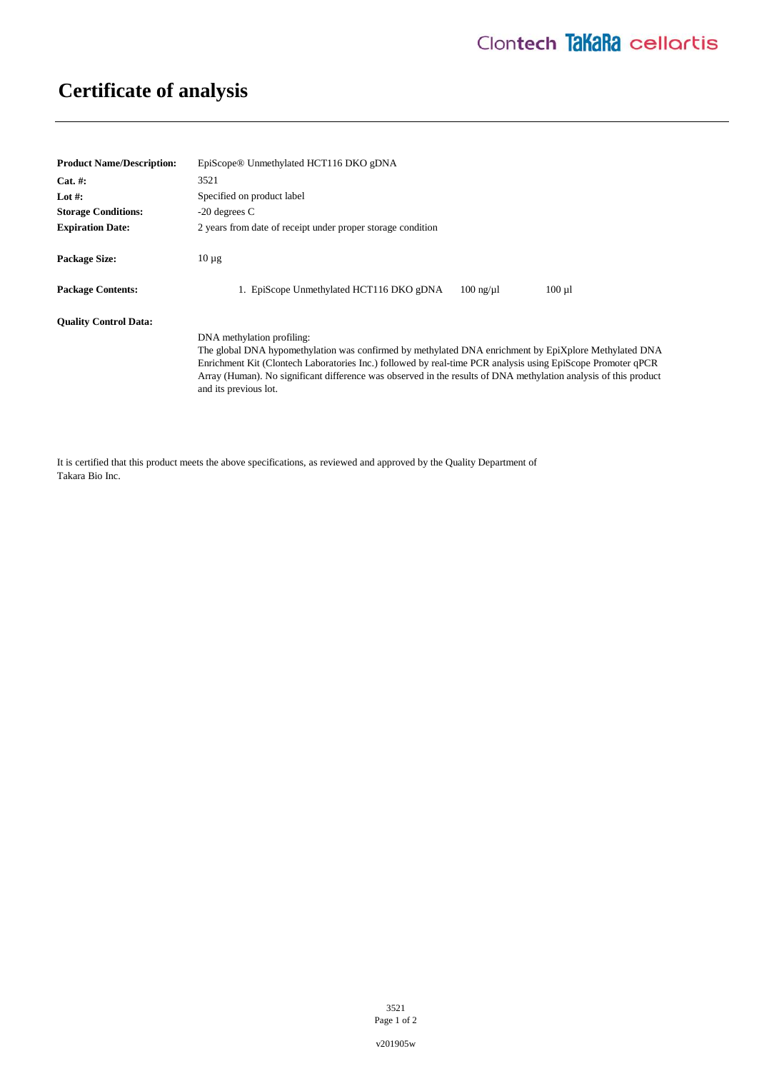## **Certificate of analysis**

| <b>Product Name/Description:</b> | EpiScope <sup>®</sup> Unmethylated HCT116 DKO gDNA                                                                                                                                                                                                                                                                                                                                              |
|----------------------------------|-------------------------------------------------------------------------------------------------------------------------------------------------------------------------------------------------------------------------------------------------------------------------------------------------------------------------------------------------------------------------------------------------|
| $Cat. \#:$                       | 3521                                                                                                                                                                                                                                                                                                                                                                                            |
| Lot #:                           | Specified on product label                                                                                                                                                                                                                                                                                                                                                                      |
| <b>Storage Conditions:</b>       | $-20$ degrees C                                                                                                                                                                                                                                                                                                                                                                                 |
| <b>Expiration Date:</b>          | 2 years from date of receipt under proper storage condition                                                                                                                                                                                                                                                                                                                                     |
| <b>Package Size:</b>             | $10 \mu$ g                                                                                                                                                                                                                                                                                                                                                                                      |
| <b>Package Contents:</b>         | 1. EpiScope Unmethylated HCT116 DKO gDNA<br>$100$ ng/ $\mu$ l<br>$100 \mu l$                                                                                                                                                                                                                                                                                                                    |
| <b>Ouality Control Data:</b>     |                                                                                                                                                                                                                                                                                                                                                                                                 |
|                                  | DNA methylation profiling:<br>The global DNA hypomethylation was confirmed by methylated DNA enrichment by EpiXplore Methylated DNA<br>Enrichment Kit (Clontech Laboratories Inc.) followed by real-time PCR analysis using EpiScope Promoter qPCR<br>Array (Human). No significant difference was observed in the results of DNA methylation analysis of this product<br>and its previous lot. |

It is certified that this product meets the above specifications, as reviewed and approved by the Quality Department of Takara Bio Inc.

> 3521 Page 1 of 2

v201905w